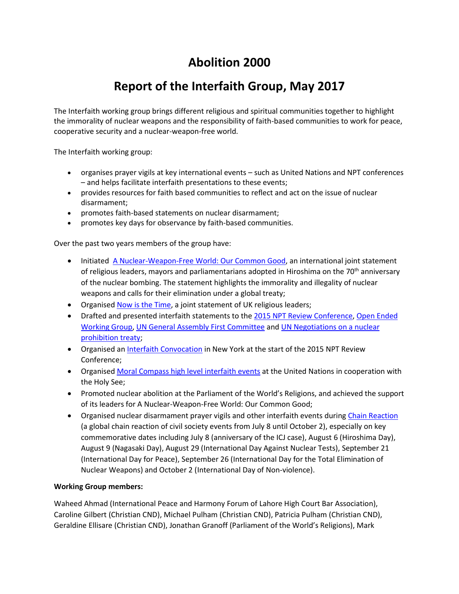## **Abolition 2000**

## **Report of the Interfaith Group, May 2017**

The Interfaith working group brings different religious and spiritual communities together to highlight the immorality of nuclear weapons and the responsibility of faith-based communities to work for peace, cooperative security and a nuclear-weapon-free world.

The Interfaith working group:

- organises prayer vigils at key international events such as United Nations and NPT conferences – and helps facilitate interfaith presentations to these events;
- provides resources for faith based communities to reflect and act on the issue of nuclear disarmament;
- promotes faith-based statements on nuclear disarmament;
- promotes key days for observance by faith-based communities.

Over the past two years members of the group have:

- Initiated [A Nuclear-Weapon-Free World: Our Common Good,](http://www.unfoldzero.org/26-september-2015/#statement) an international joint statement of religious leaders, mayors and parliamentarians adopted in Hiroshima on the 70<sup>th</sup> anniversary of the nuclear bombing. The statement highlights the immorality and illegality of nuclear weapons and calls for their elimination under a global treaty;
- Organised [Now is the Time,](http://www.endnuclearweapons.org.uk/) a joint statement of UK religious leaders;
- Drafted and presented interfaith statements to th[e 2015 NPT Review Conference,](https://www.oikoumene.org/en/press-centre/news/interfaith-initiative-at-un-calls-191-governments-to-ban-nuclear-weapons) [Open Ended](https://nonukes.nl/interfaith-statement-presented-geneva/)  [Working Group,](https://nonukes.nl/interfaith-statement-presented-geneva/) [UN General Assembly First Committee](https://s3.amazonaws.com/unoda-web/wp-content/uploads/2016/10/12-Oct-WCC.pdf) and [UN Negotiations on a nuclear](http://www.sgi.org/resources/ngo-resources/peace-disarmament/ptnw-public-statement-march-2017.html)  [prohibition treaty;](http://www.sgi.org/resources/ngo-resources/peace-disarmament/ptnw-public-statement-march-2017.html)
- Organised a[n Interfaith Convocation](http://www.peaceandplanet.org/mobilization/interfaith-service/) in New York at the start of the 2015 NPT Review Conference;
- Organised [Moral Compass high level interfaith events](http://gsinstitute.org/invitation-nuclear-weapons-and-the-moral-compass-april-9) at the United Nations in cooperation with the Holy See;
- Promoted nuclear abolition at the Parliament of the World's Religions, and achieved the support of its leaders for A Nuclear-Weapon-Free World: Our Common Good;
- Organised nuclear disarmament prayer vigils and other interfaith events during [Chain Reaction](http://www.unfoldzero.org/get-involved/chain-reaction-2016/) (a global chain reaction of civil society events from July 8 until October 2), especially on key commemorative dates including July 8 (anniversary of the ICJ case), August 6 (Hiroshima Day), August 9 (Nagasaki Day), August 29 (International Day Against Nuclear Tests), September 21 (International Day for Peace), September 26 (International Day for the Total Elimination of Nuclear Weapons) and October 2 (International Day of Non-violence).

## **Working Group members:**

Waheed Ahmad (International Peace and Harmony Forum of Lahore High Court Bar Association), Caroline Gilbert (Christian CND), Michael Pulham (Christian CND), Patricia Pulham (Christian CND), Geraldine Ellisare (Christian CND), Jonathan Granoff (Parliament of the World's Religions), Mark